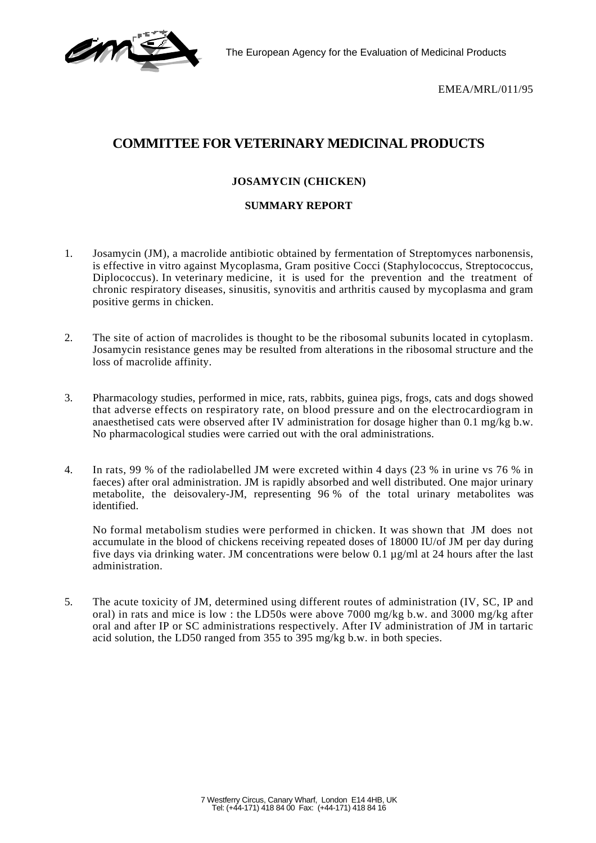EMEA/MRL/011/95

## **COMMITTEE FOR VETERINARY MEDICINAL PRODUCTS**

## **JOSAMYCIN (CHICKEN)**

## **SUMMARY REPORT**

- 1. Josamycin (JM), a macrolide antibiotic obtained by fermentation of Streptomyces narbonensis, is effective in vitro against Mycoplasma, Gram positive Cocci (Staphylococcus, Streptococcus, Diplococcus). In veterinary medicine, it is used for the prevention and the treatment of chronic respiratory diseases, sinusitis, synovitis and arthritis caused by mycoplasma and gram positive germs in chicken.
- 2. The site of action of macrolides is thought to be the ribosomal subunits located in cytoplasm. Josamycin resistance genes may be resulted from alterations in the ribosomal structure and the loss of macrolide affinity.
- 3. Pharmacology studies, performed in mice, rats, rabbits, guinea pigs, frogs, cats and dogs showed that adverse effects on respiratory rate, on blood pressure and on the electrocardiogram in anaesthetised cats were observed after IV administration for dosage higher than 0.1 mg/kg b.w. No pharmacological studies were carried out with the oral administrations.
- 4. In rats, 99 % of the radiolabelled JM were excreted within 4 days (23 % in urine vs 76 % in faeces) after oral administration. JM is rapidly absorbed and well distributed. One major urinary metabolite, the deisovalery-JM, representing 96 % of the total urinary metabolites was identified.

No formal metabolism studies were performed in chicken. It was shown that JM does not accumulate in the blood of chickens receiving repeated doses of 18000 IU/of JM per day during five days via drinking water. JM concentrations were below 0.1  $\mu$ g/ml at 24 hours after the last administration.

5. The acute toxicity of JM, determined using different routes of administration (IV, SC, IP and oral) in rats and mice is low : the LD50s were above 7000 mg/kg b.w. and 3000 mg/kg after oral and after IP or SC administrations respectively. After IV administration of JM in tartaric acid solution, the LD50 ranged from 355 to 395 mg/kg b.w. in both species.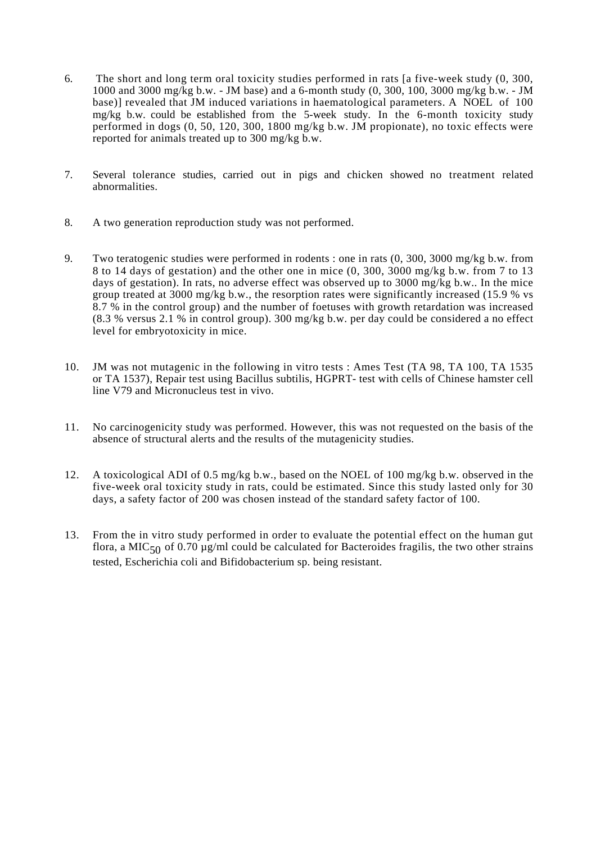- 6. The short and long term oral toxicity studies performed in rats [a five-week study (0, 300, 1000 and 3000 mg/kg b.w. - JM base) and a 6-month study (0, 300, 100, 3000 mg/kg b.w. - JM base)] revealed that JM induced variations in haematological parameters. A NOEL of 100 mg/kg b.w. could be established from the 5-week study. In the 6-month toxicity study performed in dogs (0, 50, 120, 300, 1800 mg/kg b.w. JM propionate), no toxic effects were reported for animals treated up to 300 mg/kg b.w.
- 7. Several tolerance studies, carried out in pigs and chicken showed no treatment related abnormalities.
- 8. A two generation reproduction study was not performed.
- 9. Two teratogenic studies were performed in rodents : one in rats (0, 300, 3000 mg/kg b.w. from 8 to 14 days of gestation) and the other one in mice (0, 300, 3000 mg/kg b.w. from 7 to 13 days of gestation). In rats, no adverse effect was observed up to 3000 mg/kg b.w.. In the mice group treated at 3000 mg/kg b.w., the resorption rates were significantly increased (15.9 % vs 8.7 % in the control group) and the number of foetuses with growth retardation was increased (8.3 % versus 2.1 % in control group). 300 mg/kg b.w. per day could be considered a no effect level for embryotoxicity in mice.
- 10. JM was not mutagenic in the following in vitro tests : Ames Test (TA 98, TA 100, TA 1535 or TA 1537), Repair test using Bacillus subtilis, HGPRT- test with cells of Chinese hamster cell line V79 and Micronucleus test in vivo.
- 11. No carcinogenicity study was performed. However, this was not requested on the basis of the absence of structural alerts and the results of the mutagenicity studies.
- 12. A toxicological ADI of 0.5 mg/kg b.w., based on the NOEL of 100 mg/kg b.w. observed in the five-week oral toxicity study in rats, could be estimated. Since this study lasted only for 30 days, a safety factor of 200 was chosen instead of the standard safety factor of 100.
- 13. From the in vitro study performed in order to evaluate the potential effect on the human gut flora, a MIC $50$  of 0.70 µg/ml could be calculated for Bacteroides fragilis, the two other strains tested, Escherichia coli and Bifidobacterium sp. being resistant.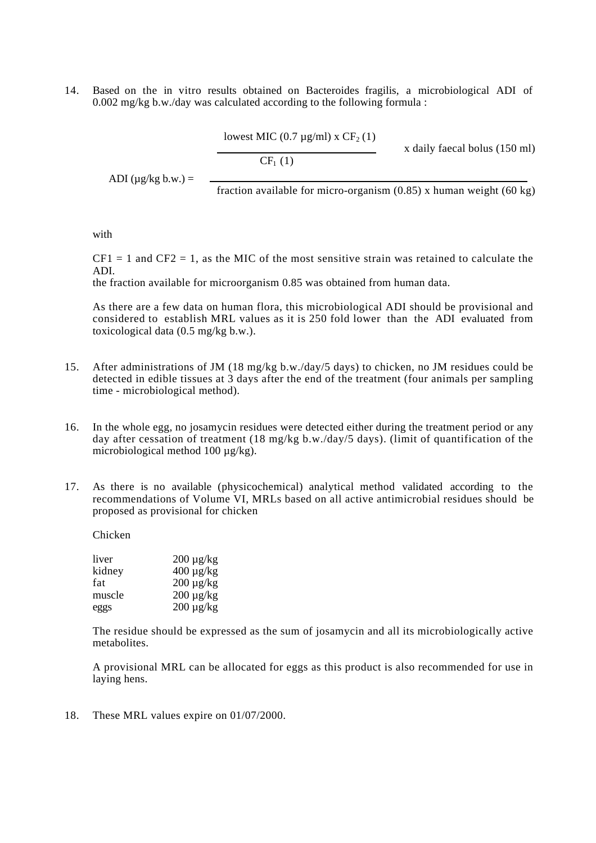14. Based on the in vitro results obtained on Bacteroides fragilis, a microbiological ADI of 0.002 mg/kg b.w./day was calculated according to the following formula :

ADI ( $\mu$ g/kg b.w.) = fraction available for micro-organism (0.85) x human weight (60 kg) lowest MIC (0.7  $\mu$ g/ml) x CF<sub>2</sub> (1) x daily faecal bolus (150 ml)  $CF_1(1)$ 

with

 $CF1 = 1$  and  $CF2 = 1$ , as the MIC of the most sensitive strain was retained to calculate the ADI.

the fraction available for microorganism 0.85 was obtained from human data.

As there are a few data on human flora, this microbiological ADI should be provisional and considered to establish MRL values as it is 250 fold lower than the ADI evaluated from toxicological data (0.5 mg/kg b.w.).

- 15. After administrations of JM (18 mg/kg b.w./day/5 days) to chicken, no JM residues could be detected in edible tissues at 3 days after the end of the treatment (four animals per sampling time - microbiological method).
- 16. In the whole egg, no josamycin residues were detected either during the treatment period or any day after cessation of treatment (18 mg/kg b.w./day/5 days). (limit of quantification of the microbiological method 100  $\mu$ g/kg).
- 17. As there is no available (physicochemical) analytical method validated according to the recommendations of Volume VI, MRLs based on all active antimicrobial residues should be proposed as provisional for chicken

Chicken

| liver  | $200 \mu g/kg$ |
|--------|----------------|
| kidney | $400 \mu g/kg$ |
| fat    | $200 \mu g/kg$ |
| muscle | $200 \mu g/kg$ |
| eggs   | $200 \mu g/kg$ |

The residue should be expressed as the sum of josamycin and all its microbiologically active metabolites.

A provisional MRL can be allocated for eggs as this product is also recommended for use in laying hens.

18. These MRL values expire on 01/07/2000.